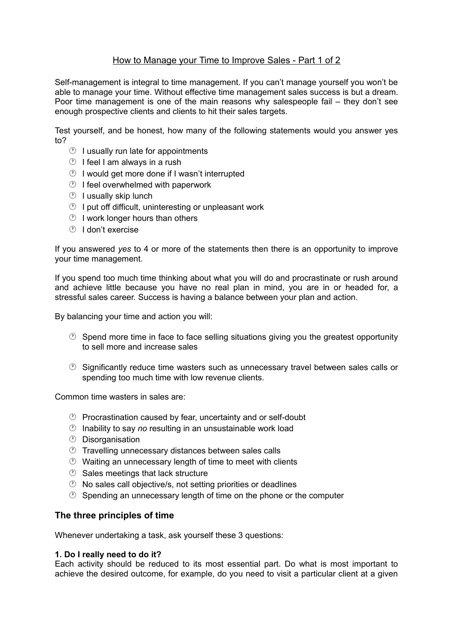# How to Manage your Time to Improve Sales - Part 1 of 2

Self-management is integral to time management. If you can't manage yourself you won't be able to manage your time. Without effective time management sales success is but a dream. Poor time management is one of the main reasons why salespeople fail – they don't see enough prospective clients and clients to hit their sales targets.

Test yourself, and be honest, how many of the following statements would you answer yes to?

- $\circled{1}$  I usually run late for appointments
- $\circledcirc$  I feel I am always in a rush
- $\circled{1}$  I would get more done if I wasn't interrupted
- $\circled{1}$  I feel overwhelmed with paperwork
- $\circledcirc$  I usually skip lunch
- $\circled{1}$  I put off difficult, uninteresting or unpleasant work
- $\circled{1}$  I work longer hours than others
- I don't exercise

If you answered *yes* to 4 or more of the statements then there is an opportunity to improve your time management.

If you spend too much time thinking about what you will do and procrastinate or rush around and achieve little because you have no real plan in mind, you are in or headed for, a stressful sales career. Success is having a balance between your plan and action.

By balancing your time and action you will:

- $\circled{D}$  Spend more time in face to face selling situations giving you the greatest opportunity to sell more and increase sales
- $\circled{2}$  Significantly reduce time wasters such as unnecessary travel between sales calls or spending too much time with low revenue clients.

Common time wasters in sales are:

- $\circled{P}$  Procrastination caused by fear, uncertainty and or self-doubt
- Inability to say *no* resulting in an unsustainable work load
- Disorganisation
- **Travelling unnecessary distances between sales calls**
- $\circled{1}$  Waiting an unnecessary length of time to meet with clients
- $\circledcirc$  Sales meetings that lack structure
- $\circled{D}$  No sales call objective/s, not setting priorities or deadlines
- $\circled{C}$  Spending an unnecessary length of time on the phone or the computer

# **The three principles of time**

Whenever undertaking a task, ask yourself these 3 questions:

## **1. Do I really need to do it?**

Each activity should be reduced to its most essential part. Do what is most important to achieve the desired outcome, for example, do you need to visit a particular client at a given